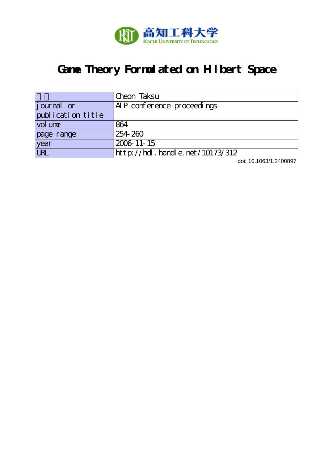

# **Game Theory Formulated on Hilbert Space**

|                   | Cheon Taksu                     |
|-------------------|---------------------------------|
| journal or        | AIP conference proceedings      |
| publication title |                                 |
| vol une           | 864                             |
| page range        | 254 260                         |
| year              | 2006 11 - 15                    |
| URL               | http://hdl.handle.net/10173/312 |

doi: 10.1063/1.2400897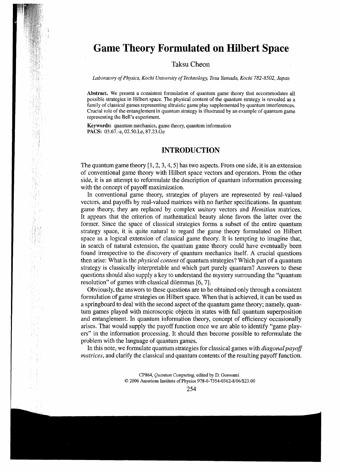## GameTheory Formulated on Hilbert Space

### Taksu Cheon

Laboratory of Physics, Kochi University of Technology, Tosa Yamada, Kochi 782-8502, Japan

Abstract. We present a consistent formulation of quantum game theory that accommodates all possible strategies in Hilbert space. The physical content of the quantum strategy is revealed as a family of classical games representing altruistic game play supplemented by quantum interferences. Crucial role of the entanglement in quantum strategy is illustrated by an example of quantum game representing the Bell's experiment.

Keywords: quantum mechanics , game theory, quantum information PACS: 03.67.-a, 02.50.Le, 87.23.Ge

#### **INTRODUCTION**

The quantum game theory  $[1, 2, 3, 4, 5]$  has two aspects. From one side, it is an extension of conventional game theory with Hilbert space vectors and operators. From the other side, it is an attempt to reformulate the description of quantum information processing with the concept of payoff maximization. with the concept of payoff maximization.

In conventional game theory, strategies of players are represented by real-valued vectors, and payoffs by real-valued matrices with no further specifications. In quantum game theory, they are replaced by complex unitary vectors and Hemitian matrices. It appears that the criterion of mathematical beauty alone favors the latter over the former. Since the space of classical strategies forms a subset of the entire quantum strategy space, it is quite natural to regard the game theory formulated on Hilbert space as a logical extension of classical game theory. It is tempting to imagine that, in search of natural extension, the quantum game theory could have eventually been found irrespective to the discovery of quantum mechanics itself. A crucial questions then arise: What is the *physical content* of quantum strategies? Which part of a quantum strategy is classically interpretable and which part purely quantum? Answers to these questions should also supply a key to understand the mystery surrounding the "quantum resolution" of games with classical dilemmas [6, 7].

Obviously, the answers to these questions are to be obtained only through a consistent formulation of game strategies on Hilbert space. When that is achieved, it can be used as a springboard to deal with the second aspect of the quantum game theory; namely, quantum games played with microscopic objects in states with full quantum superposition and entanglement. In quantum information theory, concept of efficiency occasionally arises. That would supply the payoff function once we are able to identify "game players" in the information processing. It should then become possible to reformulate the problem with the language of quantum games.

In this note, we formulate quantum strategies for classical games with *diagonal payoff* matrices, and clarify the classical and quantum contents of the resulting payoff function.

> CP864, Quantum Computing, edited by D. Goswami © <sup>2006</sup> American Institute of Physios 978-0-7354-0362-8/06/\$23.00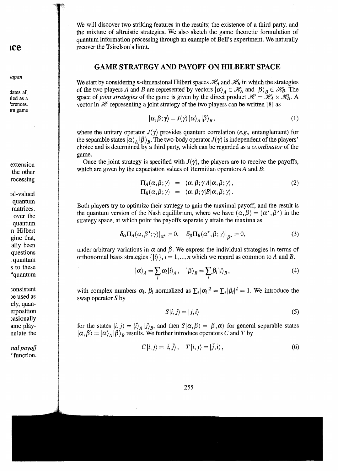ice

Japan

dates all tied as a rerences. imgame

extension the other rocessing

sal -val ued qu antum matrices. over the quantum å nHilbert gine that, ally been<br>questions  $q$ uantum s to thes "quantum

consistent De used as ely, quansrposition ;asionally ame playnulate the

nal payoff ' function.

We will discover two striking features in the results; the existence of a third party, and the mixture of altruistic strategies. We also sketch the game theoretic formulation of quantum information processing through an example of Bell's experiment. Wenaturally recover the Tsirelson's limit.

### GAME STRATEGY AND PAYOFF ON HILBERT SPACE

We start by considering *n*-dimensional Hilbert spaces  $\mathcal{H}_A$  and  $\mathcal{H}_B$  in which the strategies of the two players A and B are represented by vectors  $|\alpha\rangle_A \in \mathcal{H}_A$  and  $|\beta\rangle_B \in \mathcal{H}_B$ . The space of joint strategies of the game is given by the direct product  $\mathcal{H} = \mathcal{H}_A \times \mathcal{H}_B$ . A vector in  $\mathcal H$  representing a joint strategy of the two players can be written [8] as

$$
|\alpha, \beta; \gamma\rangle = J(\gamma) |\alpha\rangle_A |\beta\rangle_B, \qquad (1)
$$

where the unitary operator  $J(\gamma)$  provides quantum correlation (e.g., entanglement) for the separable states  $\alpha\rangle_A \ket{\beta}_B$ . The two-body operator  $J(\gamma)$  is independent of the players' choice and is determined by a third party, which can be regarded as a *coordinator* of the game.

Once the joint strategy is specified with  $J(\gamma)$ , the players are to receive the payof which are given by the expectation values of Hermitian operators A and B:

$$
\Pi_A(\alpha,\beta;\gamma) = \langle \alpha,\beta;\gamma | A | \alpha,\beta;\gamma \rangle, \Pi_B(\alpha,\beta;\gamma) = \langle \alpha,\beta;\gamma | B | \alpha,\beta;\gamma \rangle.
$$
\n(2)

Both players try to optimize their strategy to gain the maximal payoff, and the result is the quantum version of the Nash equilibrium, where we have  $(\alpha, \beta) = (\alpha^*, \beta^*)$  in the strategy space, at which point the payoffs separately attain the maxima as

$$
\delta_{\alpha} \Pi_{A}(\alpha, \beta^{\star}; \gamma)|_{\alpha^{\star}} = 0, \quad \delta_{\beta} \Pi_{B}(\alpha^{\star}, \beta; \gamma)|_{\beta^{\star}} = 0, \tag{3}
$$

under arbitrary variations in  $\alpha$  and  $\beta$ . We express the individual strategies in terms of orthonormal basis strategies  $\{|i\rangle\}, i = 1,...,n$  which we regard as common to A and B.

$$
|\alpha\rangle_{A} = \sum_{i} \alpha_{i} |i\rangle_{A}, \quad |\beta\rangle_{B} = \sum_{i} \beta_{i} |i\rangle_{B}, \tag{4}
$$

with complex numbers  $\alpha_i$ ,  $\beta_i$  normalized as  $\sum_i |\alpha_i|^2 = \sum_i |\beta_i|^2 = 1$ . We introduce the swap operator S by

$$
S|i,j\rangle = |j,i\rangle \tag{5}
$$

for the states  $\langle i, j \rangle = |i\rangle_A|j\rangle_B$ , and then  $S|\alpha, \beta\rangle = |\beta, \alpha\rangle$  for general separable states  $|\alpha, \beta\rangle = |\alpha\rangle_A |\beta\rangle_B$  results. We further introduce operators C and T by

$$
C|i,j\rangle = |\bar{i},\bar{j}\rangle, \quad T|i,j\rangle = |\bar{j},\bar{i}\rangle, \tag{6}
$$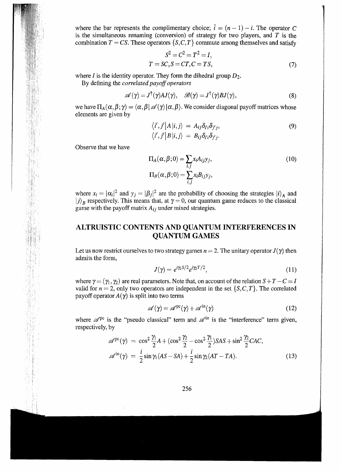where the bar represents the complimentary choice;  $\bar{i} = (n-1) - i$ . The operator C is the simultaneous renaming (conversion) of strategy for two players, and  $T$  is the combination  $T = CS$ . These operators  $\{S, C, T\}$  commute among themselves and satisfy

$$
S2 = C2 = T2 = I,
$$
  

$$
T = SC, S = CT, C = TS,
$$
 (7)

where *I* is the identity operator. They form the dihedral group  $D_2$ .

By defining the correlated payoff operators

$$
\mathscr{A}(\gamma) = J^{\dagger}(\gamma)AJ(\gamma), \quad \mathscr{B}(\gamma) = J^{\dagger}(\gamma)BJ(\gamma), \tag{8}
$$

we have  $\Pi_A(\alpha, \beta; \gamma) = \langle \alpha, \beta | \mathcal{A}(\gamma) | \alpha, \beta \rangle$ . We consider diagonal payoff matrices whose elements are given by

$$
\langle i',j'|A|i,j\rangle = A_{ij}\delta_{i'i}\delta_{j'j},
$$
  
\n
$$
\langle i',j'|B|i,j\rangle = B_{ij}\delta_{i'i}\delta_{j'j}.
$$
\n(9)

Observe that we have

$$
\Pi_A(\alpha, \beta; 0) = \sum_{i,j} x_i A_{ij} y_j,
$$
\n
$$
\Pi_B(\alpha, \beta; 0) = \sum_{i,j} x_i B_{ij} y_j,
$$
\n(10)

where  $x_i = |\alpha_i|^2$  and  $y_j = |\beta_j|^2$  are the probability of choosing the strategies  $|i\rangle_A$  and  $j \mid B$  respectively. This means that, at  $\gamma = 0$ , our quantum game reduces to the classic game with the payoff matrix  $A_{ij}$  under mixed strategies.

### ALTRUISTIC CONTENTS AND QUANTUM INTERFERENCES IN QUANTUM GAMES

Let us now restrict ourselves to two strategy games  $n = 2$ . The unitary operator  $J(\gamma)$  then admits the form,

$$
J(\gamma) = e^{i\gamma_1 S/2} e^{i\gamma_2 T/2},\tag{11}
$$

where  $\gamma = (\gamma_1, \gamma_2)$  are real parameters. Note that, on account of the relation  $S+T-C = I$ valid for  $n = 2$ , only two operators are independent in the set  $\{S, C, T\}$ . The correlated payoff operator  $A(\gamma)$  is split into two terms

$$
\mathscr{A}(\gamma) = \mathscr{A}^{\text{pc}}(\gamma) + \mathscr{A}^{\text{in}}(\gamma)
$$
 (12)

where  $\mathscr{A}^{pc}$  is the "pseudo classical" term and  $\mathscr{A}^{in}$  is the "interference" term given, respectively, by

$$
\mathscr{A}^{\text{pc}}(\gamma) = \cos^2 \frac{\gamma_1}{2} A + (\cos^2 \frac{\gamma_2}{2} - \cos^2 \frac{\gamma_1}{2}) SAS + \sin^2 \frac{\gamma_2}{2} CAC,
$$
  

$$
\mathscr{A}^{\text{in}}(\gamma) = \frac{i}{2} \sin \gamma_1 (AS - SA) + \frac{i}{2} \sin \gamma_2 (AT - TA).
$$
 (13)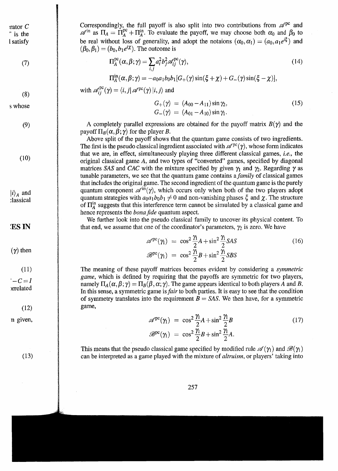rator C  $\frac{1}{\pi}$  is the l satisfy

 $(7)$ 

 $(8)$ s whose

(9)

(10)

 $|i\rangle_A$  and<br>classical

 $\mathbf{v}$  then  $\mathbf{v}$ 

 $\mathcal{L}_{\mathcal{L}}$  $'-C=I$ yrrel ated

(12)

n given,

(13)

Correspondingly, the full payoff is also split into two contributions from  $\mathscr{A}^{\text{pc}}$  and  $\mathscr{A}^{in}$  as  $\Pi_A = \Pi_A^{pc} + \Pi_A^{in}$ . To evaluate the payoff, we may choose both  $\alpha_0$  and  $\beta_0$  to be real without loss of generality, and adopt the notaions  $(\alpha_0,\alpha_1) = (a_0,a_1e^{i\xi})$  and  $(\beta_0, \beta_1) = (b_0, b_1 e^{i\chi})$ . The outcome is

$$
\Pi_A^{\text{pc}}(\alpha, \beta; \gamma) = \sum_{i,j} a_i^2 b_j^2 \mathscr{A}_{ij}^{\text{pc}}(\gamma), \qquad (14)
$$

$$
\Pi_A^{\text{in}}(\alpha,\beta;\gamma) = -a_0a_1b_0b_1[G_+(\gamma)\sin(\xi+\chi)+G_-(\gamma)\sin(\xi-\chi)],
$$

with  $\mathscr{A}_{ii}^{\text{pc}}(\gamma) = \langle i,j|\mathscr{A}^{\text{pc}}(\gamma) \left| i,j \right\rangle$  and

$$
G_{+}(\gamma) = (A_{00} - A_{11}) \sin \gamma_2,
$$
  
\n
$$
G_{-}(\gamma) = (A_{01} - A_{10}) \sin \gamma_1.
$$
\n(15)

A completely parallel expressions are obtained for the payoff matrix  $B(\gamma)$  and the payoff  $\Pi_B(\alpha, \beta; \gamma)$  for the player B.

Above split of the payoff shows that the quantum game consists of two ingredients. The first is the pseudo classical ingredient associated with  $\mathscr{A}^{\text{pc}}(\gamma)$ , whose form indicates that we are, in effect, simultaneously playing three different classical games, i.e., the original classical game A, and two types of "converted" games, specified by diagonal matrices SAS and CAC with the mixture specified by given  $\gamma_1$  and  $\gamma_2$ . Regarding  $\gamma$  as tunable parameters, we see that the quantum game contains a *family* of classical games that includes the original game. The second ingredient of the quantum game is the purely quantum component  $\mathscr{A}^{\text{in}}(\gamma)$ , which occurs only when both of the two players adopt quantum strategies with  $a_0a_1b_0b_1\neq 0$  and non-vanishing phases  $\xi$  and  $\chi$ . The structure of  $\Pi_A^{\text{in}}$  suggests that this interference term cannot be simulated by a classical game and hence represents the *bona fide* quantum aspect.

We further look into the pseudo classical family to uncover its physical content. To that end, we assume that one of the coordinator's parameters,  $\gamma_2$  is zero. We have

$$
\mathscr{A}^{pc}(\gamma_1) = \cos^2 \frac{\gamma_1}{2} A + \sin^2 \frac{\gamma_1}{2} SAS
$$
\n
$$
\mathscr{B}^{pc}(\gamma_1) = \cos^2 \frac{\gamma_1}{2} B + \sin^2 \frac{\gamma_1}{2} SBS
$$
\n(16)

The meaning of these payoff matrices becomes evident by considering a symmetric game, which is defined by requiring that the payoffs are symmetric for two players, namely  $\Pi_A(\alpha, \beta; \gamma) = \Pi_B(\beta, \alpha; \gamma)$ . The game appears identical to both players A and B. In this sense, a symmetric game is *fair* to both parties. It is easy to see that the condition of symmetry translates into the requirement  $B = SAS$ . We then have, for a symmetric game,

$$
\mathscr{A}^{\text{pc}}(\gamma_1) = \cos^2 \frac{\gamma_1}{2} A + \sin^2 \frac{\gamma_1}{2} B
$$
  

$$
\mathscr{B}^{\text{pc}}(\gamma_1) = \cos^2 \frac{\gamma_1}{2} B + \sin^2 \frac{\gamma_1}{2} A.
$$
 (17)

This means that the pseudo classical game specified by modified rule  $\mathscr{A}(\gamma_1)$  and  $\mathscr{B}(\gamma_1)$ can be interpreted as a game played with the mixture of altruism, or players' taking into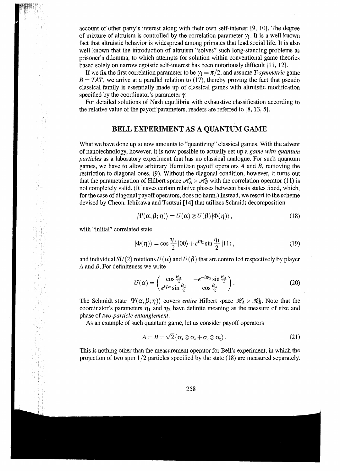account of other party's interest along with their own self-interest [9, 10]. The degree of mixture of altruism is controlled by the correlation parameter  $\gamma_1$ . It is a well known fact that altruistic behavior is widespread among primates that lead social life. It is also well known that the introduction of altruism "solves" such long-standing problems as prisoner's dilemma, to which attempts for solution within conventional game theories based solely on narrow egoistic self-interest has been notoriously difficult [11, 12].

If we fix the first correlation parameter to be  $\gamma_1 = \pi/2$ , and assume T-symmetric game  $B = TAT$ , we arrive at a parallel relation to (17), thereby proving the fact that pseudo classical family is essentially made up of classical games with altruistic modification specified by the coordinator's parameter  $\gamma$ .

For detailed solutions of Nash equilibria with exhaustive classification according to the relative value of the payoff parameters, readers are referred to [8, 13, 5].

#### BELL EXPERIMENT AS A QUANTUM GAME

What we have done up to now amounts to "quantizing" classical games. With the advent of nanotechnology, however, it is now possible to actually set up a game with quantum particles as a laboratory experiment that has no classical analogue. For such quantum games, we have to allow arbitrary Hermitian payoff operators  $A$  and  $B$ , removing the restriction to diagonal ones, (9). Without the diagonal condition, however, it turns out that the parametrization of Hilbert space  $\mathcal{H}_A \times \mathcal{H}_B$  with the correlation operator (11) is not completely valid. (It leaves certain relative phases between basis states fixed, which, for the case of diagonal payoff operators, does no harm.) Instead, we resort to the scheme devised by Cheon, Ichikawa and Tsutsui [14] that utilizes Schmidt decomposition

$$
|\Psi(\alpha,\beta;\eta)\rangle = U(\alpha)\otimes U(\beta)|\Phi(\eta)\rangle, \qquad (18)
$$

with "initial" correlated state

$$
|\Phi(\eta)\rangle = \cos\frac{\eta_1}{2}|00\rangle + e^{i\eta_2}\sin\frac{\eta_1}{2}|11\rangle, \qquad (19)
$$

and individual  $SU(2)$  rotations  $U(\alpha)$  and  $U(\beta)$  that are controlled respectively by player  $A$  and  $B$ . For definiteness we write

$$
U(\alpha) = \begin{pmatrix} \cos\frac{\theta_{\alpha}}{2} & -e^{-i\phi_{\alpha}}\sin\frac{\theta_{\alpha}}{2} \\ e^{i\phi_{\alpha}}\sin\frac{\theta_{\alpha}}{2} & \cos\frac{\theta_{\alpha}}{2} \end{pmatrix}.
$$
 (20)

The Schmidt state  $|\Psi(\alpha,\beta;\eta)\rangle$  covers *entire* Hilbert space  $\mathcal{H}_A \times \mathcal{H}_B$ . Note that the coordinator's parameters  $\eta_1$  and  $\eta_2$  have definite meaning as the measure of size and phase of two-particle entanglement.

As an example of such quantum game, let us consider payoff operators

$$
A = B = \sqrt{2} (\sigma_x \otimes \sigma_x + \sigma_z \otimes \sigma_z).
$$
 (21)

This is nothing other than the measurement operator for Bell's experiment, in which the projection of two spin  $1/2$  particles specified by the state (18) are measured separately.